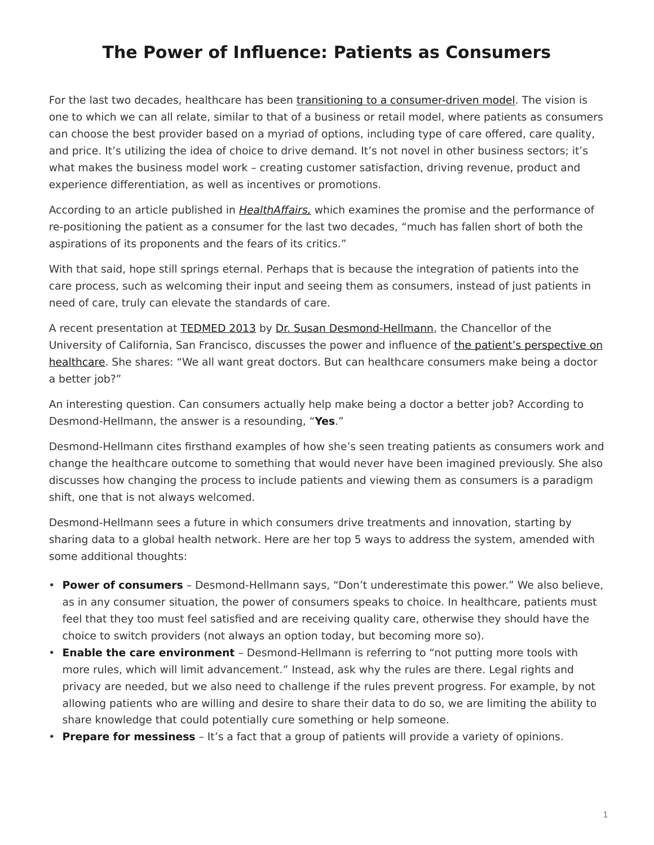## <span id="page-0-0"></span>**The Power of Influence: Patients as Consumers**

For the last two decades, healthcare has been [transitioning to a consumer-driven model.](http://content.healthaffairs.org/content/28/2/w272.full?sid=a40ca714-6826-4670-9deb-e041ab6fc22d) The vision is one to which we can all relate, similar to that of a business or retail model, where patients as consumers can choose the best provider based on a myriad of options, including type of care offered, care quality, and price. It's utilizing the idea of choice to drive demand. It's not novel in other business sectors; it's what makes the business model work – creating customer satisfaction, driving revenue, product and experience differentiation, as well as incentives or promotions.

According to an article published in [HealthAffairs,](http://content.healthaffairs.org/content/28/2/w272.full?sid=a40ca714-6826-4670-9deb-e041ab6fc22d) which examines the promise and the performance of re-positioning the patient as a consumer for the last two decades, "much has fallen short of both the aspirations of its proponents and the fears of its critics."

With that said, hope still springs eternal. Perhaps that is because the integration of patients into the care process, such as welcoming their input and seeing them as consumers, instead of just patients in need of care, truly can elevate the standards of care.

A recent presentation at [TEDMED 2013](http://www.tedmed.com/event/abouttheevent) by Dr. [Susan Desmond-Hellmann](http://www.tedmed.com/speakers/show?id=18046), the Chancellor of the University of California, San Francisco, discusses the power and influence of [the patient's perspective on](http://www.tedmed.com/talks/show?id=18047) [healthcare.](http://www.tedmed.com/talks/show?id=18047) She shares: "We all want great doctors. But can healthcare consumers make being a doctor a better job?"

An interesting question. Can consumers actually help make being a doctor a better job? According to Desmond-Hellmann, the answer is a resounding, "**Yes**."

Desmond-Hellmann cites firsthand examples of how she's seen treating patients as consumers work and change the healthcare outcome to something that would never have been imagined previously. She also discusses how changing the process to include patients and viewing them as consumers is a paradigm shift, one that is not always welcomed.

Desmond-Hellmann sees a future in which consumers drive treatments and innovation, starting by sharing data to a global health network. Here are her top 5 ways to address the system, amended with some additional thoughts:

- **Power of consumers** Desmond-Hellmann says, "Don't underestimate this power." We also believe, as in any consumer situation, the power of consumers speaks to choice. In healthcare, patients must feel that they too must feel satisfied and are receiving quality care, otherwise they should have the choice to switch providers (not always an option today, but becoming more so).
- **Enable the care environment** Desmond-Hellmann is referring to "not putting more tools with more rules, which will limit advancement." Instead, ask why the rules are there. Legal rights and privacy are needed, but we also need to challenge if the rules prevent progress. For example, by not allowing patients who are willing and desire to share their data to do so, we are limiting the ability to share knowledge that could potentially cure something or help someone.
- **Prepare for messiness** It's a fact that a group of patients will provide a variety of opinions.